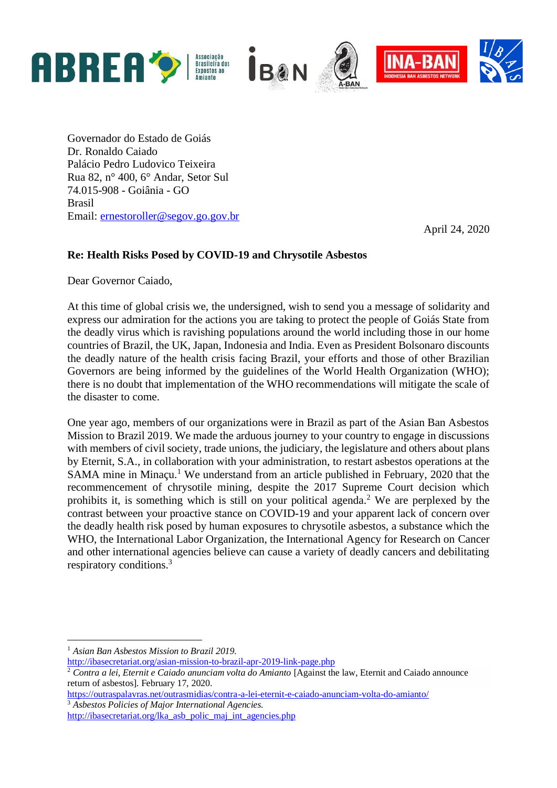

Governador do Estado de Goiás Dr. Ronaldo Caiado Palácio Pedro Ludovico Teixeira Rua 82, n° 400, 6° Andar, Setor Sul 74.015-908 - Goiânia - GO Brasil Email: [ernestoroller@segov.go.gov.br](mailto:ernestoroller@segov.go.gov.br)

April 24, 2020

## **Re: Health Risks Posed by COVID-19 and Chrysotile Asbestos**

Dear Governor Caiado,

At this time of global crisis we, the undersigned, wish to send you a message of solidarity and express our admiration for the actions you are taking to protect the people of Goiás State from the deadly virus which is ravishing populations around the world including those in our home countries of Brazil, the UK, Japan, Indonesia and India. Even as President Bolsonaro discounts the deadly nature of the health crisis facing Brazil, your efforts and those of other Brazilian Governors are being informed by the guidelines of the World Health Organization (WHO); there is no doubt that implementation of the WHO recommendations will mitigate the scale of the disaster to come.

One year ago, members of our organizations were in Brazil as part of the Asian Ban Asbestos Mission to Brazil 2019. We made the arduous journey to your country to engage in discussions with members of civil society, trade unions, the judiciary, the legislature and others about plans by Eternit, S.A., in collaboration with your administration, to restart asbestos operations at the SAMA mine in Minaçu.<sup>1</sup> We understand from an article published in February, 2020 that the recommencement of chrysotile mining, despite the 2017 Supreme Court decision which prohibits it, is something which is still on your political agenda.<sup>2</sup> We are perplexed by the contrast between your proactive stance on COVID-19 and your apparent lack of concern over the deadly health risk posed by human exposures to chrysotile asbestos, a substance which the WHO, the International Labor Organization, the International Agency for Research on Cancer and other international agencies believe can cause a variety of deadly cancers and debilitating respiratory conditions.<sup>3</sup>

<sup>1</sup> *Asian Ban Asbestos Mission to Brazil 2019.*

<http://ibasecretariat.org/asian-mission-to-brazil-apr-2019-link-page.php>

<sup>&</sup>lt;sup>2</sup> Contra a lei, Eternit e Caiado anunciam volta do Amianto [Against the law, Eternit and Caiado announce return of asbestos]. February 17, 2020.

<https://outraspalavras.net/outrasmidias/contra-a-lei-eternit-e-caiado-anunciam-volta-do-amianto/> <sup>3</sup> *Asbestos Policies of Major International Agencies.*

[http://ibasecretariat.org/lka\\_asb\\_polic\\_maj\\_int\\_agencies.php](http://ibasecretariat.org/lka_asb_polic_maj_int_agencies.php)